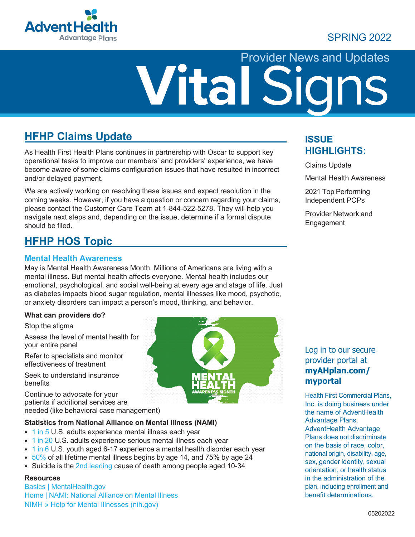

## SPRING 2022

# Provider News and Updates

## **HFHP Claims Update**

As Health First Health Plans continues in partnership with Oscar to support key operational tasks to improve our members' and providers' experience, we have become aware of some claims configuration issues that have resulted in incorrect and/or delayed payment.

We are actively working on resolving these issues and expect resolution in the coming weeks. However, if you have a question or concern regarding your claims, please contact the Customer Care Team at 1-844-522-5278. They will help you navigate next steps and, depending on the issue, determine if a formal dispute should be filed.

## **HFHP HOS Topic**

#### **Mental Health Awareness**

May is Mental Health Awareness Month. Millions of Americans are living with a mental illness. But mental health affects everyone. Mental health includes our emotional, psychological, and social well-being at every age and stage of life. Just as diabetes impacts blood sugar regulation, mental illnesses like mood, psychotic, or anxiety disorders can impact a person's mood, thinking, and behavior.

#### **What can providers do?**

Stop the stigma

Assess the level of mental health for your entire panel

Refer to specialists and monitor effectiveness of treatment

Seek to understand insurance benefits

Continue to advocate for your patients if additional services are needed (like behavioral case management)

#### **Statistics from National Alliance on Mental Illness (NAMI)**

- 1 in 5 U.S. adults experience mental illness each year
- 1 in 20 U.S. adults experience serious mental illness each year
- 1 in 6 U.S. youth aged 6-17 experience a mental health disorder each year
- $\cdot$  50% of all lifetime mental illness begins by age 14, and 75% by age 24
- Suicide is the 2nd leading cause of death among people aged 10-34

#### **Resources**

Basics | MentalHealth.gov Home | NAMI: National Alliance on Mental Illness NIMH » Help for Mental Illnesses (nih.gov)



### **ISSUE HIGHLIGHTS:**

Claims Update

Mental Health Awareness

2021 Top Performing Independent PCPs

Provider Network and Engagement

#### Log in to our secure provider portal at **myAHplan.com/ myportal**

Health First Commercial Plans, Inc. is doing business under the name of AdventHealth Advantage Plans. AdventHealth Advantage Plans does not discriminate on the basis of race, color, national origin, disability, age, sex, gender identity, sexual orientation, or health status in the administration of the plan, including enrollment and benefit determinations.